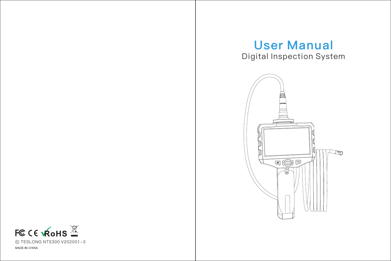# Digital Inspection System User Manual



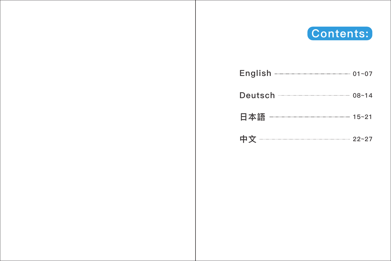

| English 201-07               |       |
|------------------------------|-------|
| Deutsch <u>- 2008 - 2008</u> | 08~14 |
| 日本語 ———————————————— 15~21   |       |
| 中文 ———————————————— 22~27    |       |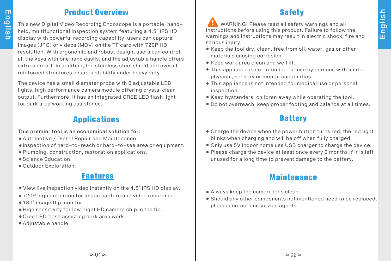### **Product Overview**

This new Digital Video Recording Endoscope is a portable, handheld, multifunctional inspection system featuring a 4.5' IPS HD display with powerful recording capability, users can capture images (JPG) or videos (MOV) on the TF card with 720P HD resolution. With ergonomic and robust design, users can control all the keys with one hand easily, and the adjustable handle offers extra comfort. In addition, the stainless steel shield and overall reinforced structures ensures stability under heavy duty.

The device has a small diameter probe with 6 adjustable LED lights, high performance camera module offering crystal clear output. Furthermore, it has an integrated CREE LED flash light for dark area working assistance.

# **Applications**

This premier tool is an economical solution for:

- Automotive / Diesel Repair and Maintenance.
- Inspection of hard-to-reach or hard-to-see area or equipment.
- Plumbing, construction, restoration applications.
- Science Education.
- Outdoor Exploration.

# **Features**

- View live inspection video instantly on the 4.5' IPS HD display.
- $\bullet$  720P high definition for image capture and video recording.
- 180° image flip monitor.
- High sensitivity for low-light HD camera chip in the tip.
- Cree LED flash assisting dark area work.
- Adjustable handle.

### **Safety**

 WARNING! Please read all safety warnings and all instructions before using this product. Failure to follow the warnings and instructions may result in electric shock, fire and serious injury.

- Keep the tool dry, clean, free from oil, water, gas or other materials causing corrosion.
- Keep work area clean and well lit.
- This appliance is not intended for use by persons with limited physical, sensory or mental capabilities.
- This appliance is not intended for medical use or personal inspection.
- Keep bystanders, children away while operating the tool.
- Do not overreach, keep proper footing and balance at all times.

# **Battery**

- Charge the device when the power button turns red, the red light blinks when charging and will be off when fully charged.
- Only use 5V indoor home use USB charger to charge the device.
- Please charge the device at least once every 3 months if it is left unused for a long time to prevent damage to the battery.

# **Maintenance**

- Always keep the camera lens clean.
- Should any other components not mentioned need to be replaced, please contact our service agents.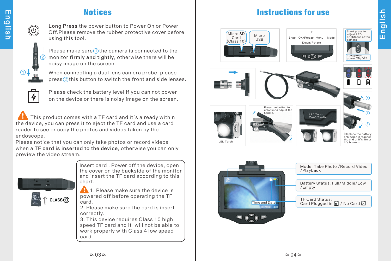# **Notices**



Long Press the power button to Power On or Power Off.Please remove the rubber protective cover before using this tool.



Please make sure  $\bigcirc$  the camera is connected to the monitor firmly and tightly, otherwise there will be noisy image on the screen. 2

When connecting a dual lens camera probe, please  ${\sf press}(2)$  this button to switch the front and side lenses.



Please check the battery level if you can not power on the device or there is noisy image on the screen.

 This product comes with a TF card and it's already within the device, you can press it to eject the TF card and use a card reader to see or copy the photos and videos taken by the endoscope.

Please notice that you can only take photos or record videos when a TF card is inserted to the device, otherwise you can only preview the video stream.



Insert card : Power off the device, open the cover on the backside of the monitor and insert the TF card according to this chart.

**1.** Please make sure the device is powered off before operating the TF card.

2. Please make sure the card is insert correctly.

3. This device requires Class 10 high speed TF card and it will not be able to work properly with Class 4 low speed card.

### **Instructions for use**

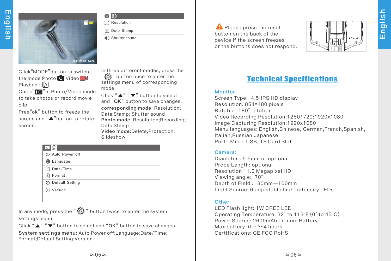

Click "MODE" button to switch the mode Photo **O** Video Playback  $\mathbb{D}$ Chick" $\blacksquare$ " in Photo/Video mode to take photos or record movie clip.

Pree"ok" button to freeze the screen and "<sup>"</sup>>"button to rotate screen.

向 (6) *C*. Resolution

Date Stamp

Shutter sound

In three different modes, press the " " button once to enter the settings menu of corresponding mode.

Click " $\blacktriangle$ " " $\blacktriangledown$ " button to select and "OK" button to save changes. corresponding mode: Resolution; Date Stamp; Shutter sound Photo mode: Resolution: Recording: Date Stamp Video mode:Delete;Protection; Slideshow

| 16<br>o"                        |  |
|---------------------------------|--|
| ( <sup>I</sup> ) Auto Power off |  |
| Language                        |  |
| <b>■ Date/Time</b>              |  |
| प्री Format                     |  |
| 5 Default Setting               |  |
| Version                         |  |
|                                 |  |

In any mode, press the " $\{0\}$ " button twice to enter the system settings menu.

Click " $\blacktriangle$ " " $\blacktriangledown$ " button to select and "OK" button to save changes. System settings menu: Auto Power off;Language;Date/Time; Format;Default Setting;Version

**A** Please press the reset button on the back of the device if the screen freezes or the buttons does not respond.



# **Technical Speciflcations**

#### Monitor:

Screen Type: 4.5'IPS HD display Resolution: 854\*480 pixels Rotation:180° rotation Video Recording Resolution:1280\*720 ;1920x1080 Image Capturing Resolution:1920x1080 Menu languages: English,Chinese, German,French,Spanish, Italian,Russian,Japanese Port: Micro USB, TF Card Slot

#### Camera:

Diameter:5.5mm or optional Probe Length: optional Resolution:1.0 Megapixel HD Viewing angle: 70° Depth of Field: 30mm—100mm Light Source: 6 adjustable high-intensity LEDs

#### Other:

LED Flash light: 1W CREE LED Operating Temperature: 32° to 113°F (0° to 45°C) Power Source: 2600mAh Lithium Battery Max battery life: 3~4 hours Certifications: CE FCC RoHS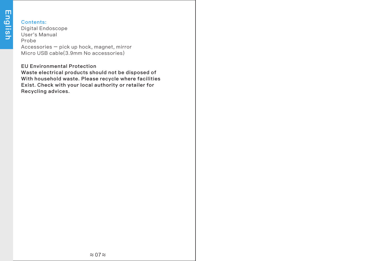#### Contents:

Digital Endoscope User's Manual Probe Accessories – pick up hock, magnet, mirror

Micro USB cable(3.9mm No accessories)

#### EU Environmental Protection

 Waste electrical products should not be disposed of With household waste. Please recycle where facilities Exist. Check with your local authority or retailer for Recycling advices.